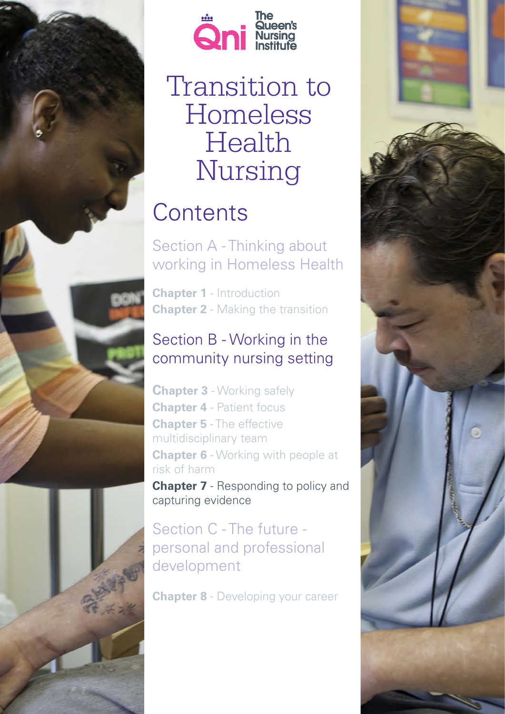

*1 Transition to Homeless Health Nursing -Chapter 7*



# Transition to Homeless Health Nursing

## **Contents**

Section A - Thinking about working in Homeless Health

**Chapter 1** - Introduction **Chapter 2** - Making the transition

## Section B - Working in the community nursing setting

**Chapter 3** - Working safely **Chapter 4** - Patient focus **Chapter 5** - The effective multidisciplinary team **Chapter 6** - Working with people at risk of harm

**Chapter 7** - Responding to policy and capturing evidence

## Section C - The future personal and professional development

**Chapter 8** - Developing your career

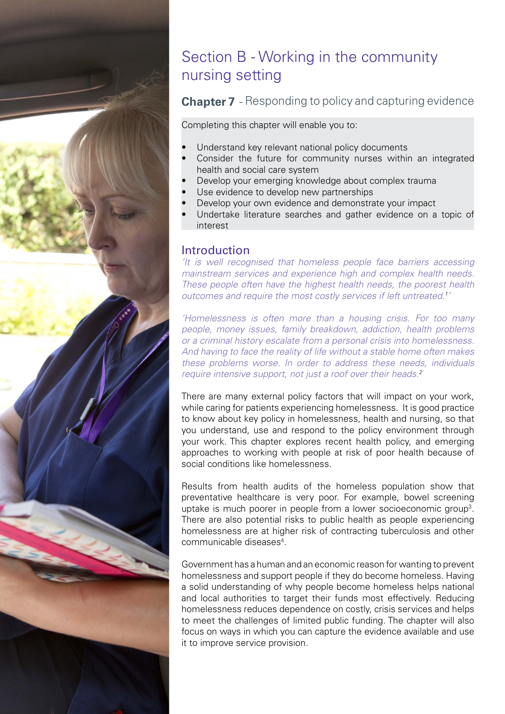

## Section B - Working in the community nursing setting

#### **Chapter 7** - Responding to policy and capturing evidence

Completing this chapter will enable you to:

- Understand key relevant national policy documents
- Consider the future for community nurses within an integrated health and social care system
- Develop your emerging knowledge about complex trauma
- Use evidence to develop new partnerships
- Develop your own evidence and demonstrate your impact
- Undertake literature searches and gather evidence on a topic of interest

#### Introduction

*'It is well recognised that homeless people face barriers accessing mainstream services and experience high and complex health needs. These people often have the highest health needs, the poorest health outcomes and require the most costly services if left untreated.1 '* 

*'Homelessness is often more than a housing crisis. For too many people, money issues, family breakdown, addiction, health problems or a criminal history escalate from a personal crisis into homelessness. And having to face the reality of life without a stable home often makes these problems worse. In order to address these needs, individuals require intensive support, not just a roof over their heads.2'*

There are many external policy factors that will impact on your work, while caring for patients experiencing homelessness. It is good practice to know about key policy in homelessness, health and nursing, so that you understand, use and respond to the policy environment through your work. This chapter explores recent health policy, and emerging approaches to working with people at risk of poor health because of social conditions like homelessness.

Results from health audits of the homeless population show that preventative healthcare is very poor. For example, bowel screening uptake is much poorer in people from a lower socioeconomic group<sup>3</sup>. There are also potential risks to public health as people experiencing homelessness are at higher risk of contracting tuberculosis and other communicable diseases4 .

Government has a human and an economic reason for wanting to prevent homelessness and support people if they do become homeless. Having a solid understanding of why people become homeless helps national and local authorities to target their funds most effectively. Reducing homelessness reduces dependence on costly, crisis services and helps to meet the challenges of limited public funding. The chapter will also focus on ways in which you can capture the evidence available and use it to improve service provision.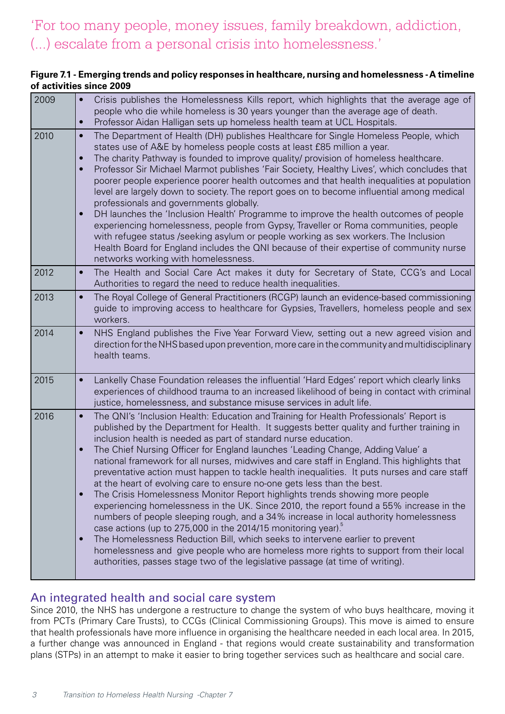## 'For too many people, money issues, family breakdown, addiction, (...) escalate from a personal crisis into homelessness.'

#### **Figure 7.1 - Emerging trends and policy responses in healthcare, nursing and homelessness - A timeline of activities since 2009**

| 2009 | Crisis publishes the Homelessness Kills report, which highlights that the average age of<br>$\bullet$<br>people who die while homeless is 30 years younger than the average age of death.<br>Professor Aidan Halligan sets up homeless health team at UCL Hospitals.<br>$\bullet$                                                                                                                                                                                                                                                                                                                                                                                                                                                                                                                                                                                                                                                                                                                                                                                                                                                                                                                                                                                       |
|------|-------------------------------------------------------------------------------------------------------------------------------------------------------------------------------------------------------------------------------------------------------------------------------------------------------------------------------------------------------------------------------------------------------------------------------------------------------------------------------------------------------------------------------------------------------------------------------------------------------------------------------------------------------------------------------------------------------------------------------------------------------------------------------------------------------------------------------------------------------------------------------------------------------------------------------------------------------------------------------------------------------------------------------------------------------------------------------------------------------------------------------------------------------------------------------------------------------------------------------------------------------------------------|
| 2010 | The Department of Health (DH) publishes Healthcare for Single Homeless People, which<br>$\bullet$<br>states use of A&E by homeless people costs at least £85 million a year.<br>The charity Pathway is founded to improve quality/ provision of homeless healthcare.<br>$\bullet$<br>Professor Sir Michael Marmot publishes 'Fair Society, Healthy Lives', which concludes that<br>$\bullet$<br>poorer people experience poorer health outcomes and that health inequalities at population<br>level are largely down to society. The report goes on to become influential among medical<br>professionals and governments globally.<br>DH launches the 'Inclusion Health' Programme to improve the health outcomes of people<br>experiencing homelessness, people from Gypsy, Traveller or Roma communities, people<br>with refugee status /seeking asylum or people working as sex workers. The Inclusion<br>Health Board for England includes the QNI because of their expertise of community nurse<br>networks working with homelessness.                                                                                                                                                                                                                             |
| 2012 | The Health and Social Care Act makes it duty for Secretary of State, CCG's and Local<br>$\bullet$<br>Authorities to regard the need to reduce health inequalities.                                                                                                                                                                                                                                                                                                                                                                                                                                                                                                                                                                                                                                                                                                                                                                                                                                                                                                                                                                                                                                                                                                      |
| 2013 | The Royal College of General Practitioners (RCGP) launch an evidence-based commissioning<br>$\bullet$<br>guide to improving access to healthcare for Gypsies, Travellers, homeless people and sex<br>workers.                                                                                                                                                                                                                                                                                                                                                                                                                                                                                                                                                                                                                                                                                                                                                                                                                                                                                                                                                                                                                                                           |
| 2014 | NHS England publishes the Five Year Forward View, setting out a new agreed vision and<br>$\bullet$<br>direction for the NHS based upon prevention, more care in the community and multidisciplinary<br>health teams.                                                                                                                                                                                                                                                                                                                                                                                                                                                                                                                                                                                                                                                                                                                                                                                                                                                                                                                                                                                                                                                    |
| 2015 | Lankelly Chase Foundation releases the influential 'Hard Edges' report which clearly links<br>$\bullet$<br>experiences of childhood trauma to an increased likelihood of being in contact with criminal<br>justice, homelessness, and substance misuse services in adult life.                                                                                                                                                                                                                                                                                                                                                                                                                                                                                                                                                                                                                                                                                                                                                                                                                                                                                                                                                                                          |
| 2016 | The QNI's 'Inclusion Health: Education and Training for Health Professionals' Report is<br>$\bullet$<br>published by the Department for Health. It suggests better quality and further training in<br>inclusion health is needed as part of standard nurse education.<br>The Chief Nursing Officer for England launches 'Leading Change, Adding Value' a<br>$\bullet$<br>national framework for all nurses, midwives and care staff in England. This highlights that<br>preventative action must happen to tackle health inequalities. It puts nurses and care staff<br>at the heart of evolving care to ensure no-one gets less than the best.<br>The Crisis Homelessness Monitor Report highlights trends showing more people<br>$\bullet$<br>experiencing homelessness in the UK. Since 2010, the report found a 55% increase in the<br>numbers of people sleeping rough, and a 34% increase in local authority homelessness<br>case actions (up to 275,000 in the 2014/15 monitoring year).<br>The Homelessness Reduction Bill, which seeks to intervene earlier to prevent<br>$\bullet$<br>homelessness and give people who are homeless more rights to support from their local<br>authorities, passes stage two of the legislative passage (at time of writing). |

#### An integrated health and social care system

Since 2010, the NHS has undergone a restructure to change the system of who buys healthcare, moving it from PCTs (Primary Care Trusts), to CCGs (Clinical Commissioning Groups). This move is aimed to ensure that health professionals have more influence in organising the healthcare needed in each local area. In 2015, a further change was announced in England - that regions would create sustainability and transformation plans (STPs) in an attempt to make it easier to bring together services such as healthcare and social care.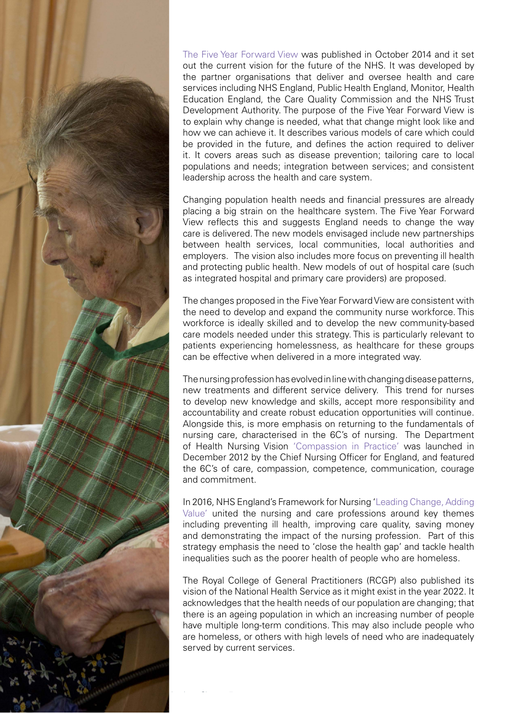

[The Five Year Forward View](https://www.england.nhs.uk/wp-content/uploads/2014/10/5yfv-web.pdf) was published in October 2014 and it set out the current vision for the future of the NHS. It was developed by the partner organisations that deliver and oversee health and care services including NHS England, Public Health England, Monitor, Health Education England, the Care Quality Commission and the NHS Trust Development Authority. The purpose of the Five Year Forward View is to explain why change is needed, what that change might look like and how we can achieve it. It describes various models of care which could be provided in the future, and defines the action required to deliver it. It covers areas such as disease prevention; tailoring care to local populations and needs; integration between services; and consistent leadership across the health and care system.

Changing population health needs and financial pressures are already placing a big strain on the healthcare system. The Five Year Forward View reflects this and suggests England needs to change the way care is delivered. The new models envisaged include new partnerships between health services, local communities, local authorities and employers. The vision also includes more focus on preventing ill health and protecting public health. New models of out of hospital care (such as integrated hospital and primary care providers) are proposed.

The changes proposed in the Five Year Forward View are consistent with the need to develop and expand the community nurse workforce. This workforce is ideally skilled and to develop the new community-based care models needed under this strategy. This is particularly relevant to patients experiencing homelessness, as healthcare for these groups can be effective when delivered in a more integrated way.

The nursing profession has evolved in line with changing disease patterns, new treatments and different service delivery. This trend for nurses to develop new knowledge and skills, accept more responsibility and accountability and create robust education opportunities will continue. Alongside this, is more emphasis on returning to the fundamentals of nursing care, characterised in the 6C's of nursing. The Department of Health Nursing Vision ['Compassion in Practice'](https://www.england.nhs.uk/2012/09/nursingvision/) was launched in December 2012 by the Chief Nursing Officer for England, and featured the 6C's of care, compassion, competence, communication, courage and commitment.

In 2016, NHS England's Framework for Nursing '[Leading Change, Adding](https://www.england.nhs.uk/wp-content/uploads/2016/05/nursing-framework.pdf) [Value'](https://www.england.nhs.uk/wp-content/uploads/2016/05/nursing-framework.pdf) united the nursing and care professions around key themes including preventing ill health, improving care quality, saving money and demonstrating the impact of the nursing profession. Part of this strategy emphasis the need to 'close the health gap' and tackle health inequalities such as the poorer health of people who are homeless.

The Royal College of General Practitioners (RCGP) also published its vision of the National Health Service as it might exist in the year 2022. It acknowledges that the health needs of our population are changing; that there is an ageing population in which an increasing number of people have multiple long-term conditions. This may also include people who are homeless, or others with high levels of need who are inadequately served by current services.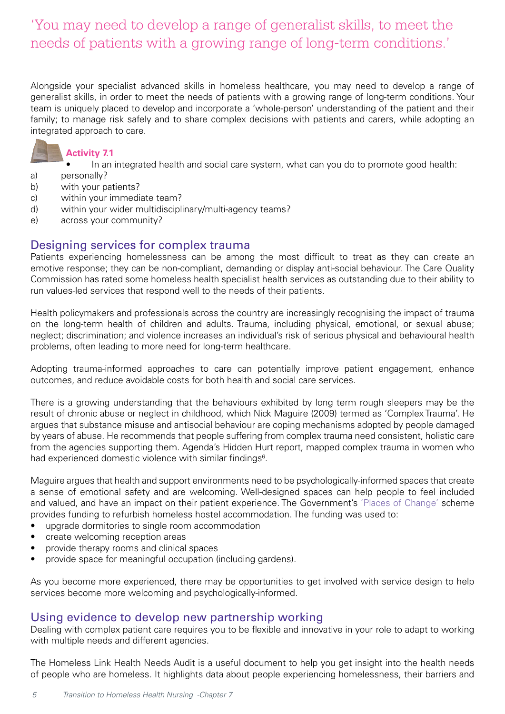## 'You may need to develop a range of generalist skills, to meet the needs of patients with a growing range of long-term conditions.'

Alongside your specialist advanced skills in homeless healthcare, you may need to develop a range of generalist skills, in order to meet the needs of patients with a growing range of long-term conditions. Your team is uniquely placed to develop and incorporate a 'whole-person' understanding of the patient and their family; to manage risk safely and to share complex decisions with patients and carers, while adopting an integrated approach to care.



#### **Activity 7.1**

- In an integrated health and social care system, what can you do to promote good health:
- a) personally?
- b) with your patients?
- c) within your immediate team?
- d) within your wider multidisciplinary/multi-agency teams?
- e) across your community?

#### Designing services for complex trauma

Patients experiencing homelessness can be among the most difficult to treat as they can create an emotive response; they can be non-compliant, demanding or display anti-social behaviour. The Care Quality Commission has rated some homeless health specialist health services as outstanding due to their ability to run values-led services that respond well to the needs of their patients.

Health policymakers and professionals across the country are increasingly recognising the impact of trauma on the long-term health of children and adults. Trauma, including physical, emotional, or sexual abuse; neglect; discrimination; and violence increases an individual's risk of serious physical and behavioural health problems, often leading to more need for long-term healthcare.

Adopting trauma-informed approaches to care can potentially improve patient engagement, enhance outcomes, and reduce avoidable costs for both health and social care services.

There is a growing understanding that the behaviours exhibited by long term rough sleepers may be the result of chronic abuse or neglect in childhood, which Nick Maguire (2009) termed as 'Complex Trauma'. He argues that substance misuse and antisocial behaviour are coping mechanisms adopted by people damaged by years of abuse. He recommends that people suffering from complex trauma need consistent, holistic care from the agencies supporting them. Agenda's Hidden Hurt report, mapped complex trauma in women who had experienced domestic violence with similar findings<sup>6</sup>.

Maguire argues that health and support environments need to be psychologically-informed spaces that create a sense of emotional safety and are welcoming. Well-designed spaces can help people to feel included and valued, and have an impact on their patient experience. The Government's ['Places of Change'](http://webarchive.nationalarchives.gov.uk/20110303161527/http:/www.homesandcommunities.co.uk/places_of_change) scheme provides funding to refurbish homeless hostel accommodation. The funding was used to:

- upgrade dormitories to single room accommodation
- create welcoming reception areas
- provide therapy rooms and clinical spaces
- provide space for meaningful occupation (including gardens).

As you become more experienced, there may be opportunities to get involved with service design to help services become more welcoming and psychologically-informed.

#### Using evidence to develop new partnership working

Dealing with complex patient care requires you to be flexible and innovative in your role to adapt to working with multiple needs and different agencies.

The Homeless Link Health Needs Audit is a useful document to help you get insight into the health needs of people who are homeless. It highlights data about people experiencing homelessness, their barriers and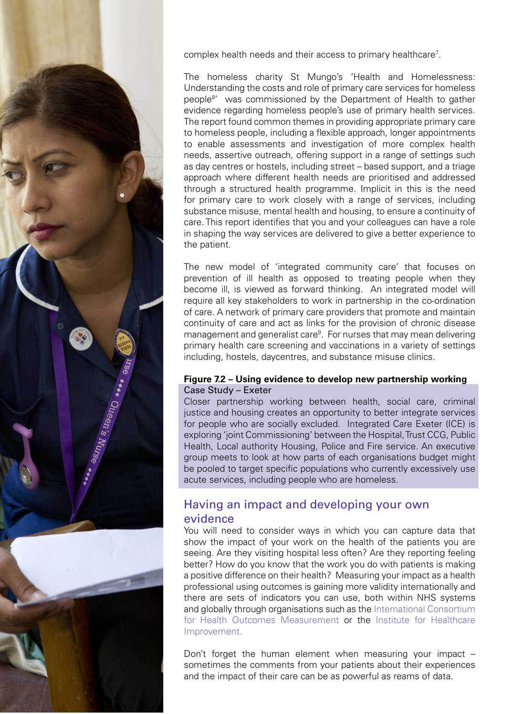

*6 Transition to Homeless Health Nursing -Chapter 7*

complex health needs and their access to primary healthcare<sup>7</sup>.

The homeless charity St Mungo's 'Health and Homelessness: Understanding the costs and role of primary care services for homeless people<sup>8</sup>' was commissioned by the Department of Health to gather evidence regarding homeless people's use of primary health services. The report found common themes in providing appropriate primary care to homeless people, including a flexible approach, longer appointments to enable assessments and investigation of more complex health needs, assertive outreach, offering support in a range of settings such as day centres or hostels, including street – based support, and a triage approach where different health needs are prioritised and addressed through a structured health programme. Implicit in this is the need for primary care to work closely with a range of services, including substance misuse, mental health and housing, to ensure a continuity of care. This report identifies that you and your colleagues can have a role in shaping the way services are delivered to give a better experience to the patient.

The new model of 'integrated community care' that focuses on prevention of ill health as opposed to treating people when they become ill, is viewed as forward thinking. An integrated model will require all key stakeholders to work in partnership in the co-ordination of care. A network of primary care providers that promote and maintain continuity of care and act as links for the provision of chronic disease management and generalist care<sup>9</sup>. For nurses that may mean delivering primary health care screening and vaccinations in a variety of settings including, hostels, daycentres, and substance misuse clinics.

#### **Figure 7.2 – Using evidence to develop new partnership working** Case Study – Exeter

Closer partnership working between health, social care, criminal justice and housing creates an opportunity to better integrate services for people who are socially excluded. Integrated Care Exeter (ICE) is exploring 'joint Commissioning' between the Hospital, Trust CCG, Public Health, Local authority Housing, Police and Fire service. An executive group meets to look at how parts of each organisations budget might be pooled to target specific populations who currently excessively use acute services, including people who are homeless.

#### Having an impact and developing your own evidence

You will need to consider ways in which you can capture data that show the impact of your work on the health of the patients you are seeing. Are they visiting hospital less often? Are they reporting feeling better? How do you know that the work you do with patients is making a positive difference on their health? Measuring your impact as a health professional using outcomes is gaining more validity internationally and there are sets of indicators you can use, both within NHS systems and globally through organisations such as the [International Consortium](http://www.ichom.org/medical-conditions/)  [for Health Outcomes Measurement](http://www.ichom.org/medical-conditions/) or the [Institute for Healthcare](http://www.ihi.org/resources/Pages/Measures/default.aspx)  [Improvement.](http://www.ihi.org/resources/Pages/Measures/default.aspx)

Don't forget the human element when measuring your impact – sometimes the comments from your patients about their experiences and the impact of their care can be as powerful as reams of data.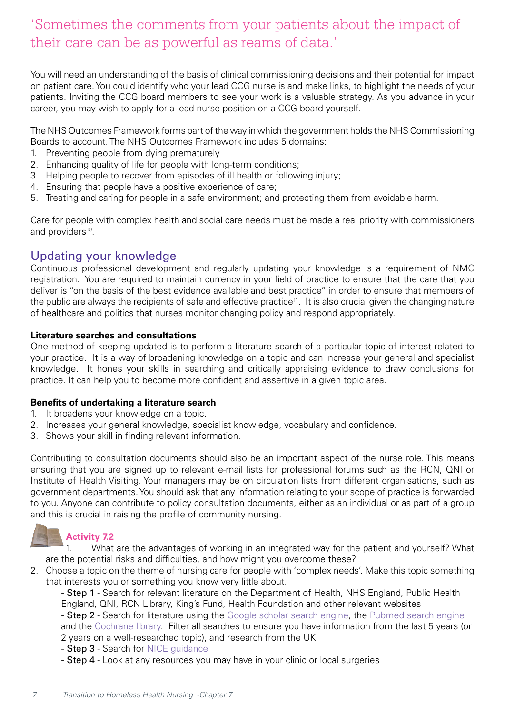## 'Sometimes the comments from your patients about the impact of their care can be as powerful as reams of data.'

You will need an understanding of the basis of clinical commissioning decisions and their potential for impact on patient care. You could identify who your lead CCG nurse is and make links, to highlight the needs of your patients. Inviting the CCG board members to see your work is a valuable strategy. As you advance in your career, you may wish to apply for a lead nurse position on a CCG board yourself.

The NHS Outcomes Framework forms part of the way in which the government holds the NHS Commissioning Boards to account. The NHS Outcomes Framework includes 5 domains:

- 1. Preventing people from dying prematurely
- 2. Enhancing quality of life for people with long-term conditions;
- 3. Helping people to recover from episodes of ill health or following injury;
- 4. Ensuring that people have a positive experience of care;
- 5. Treating and caring for people in a safe environment; and protecting them from avoidable harm.

Care for people with complex health and social care needs must be made a real priority with commissioners and providers<sup>10</sup>.

#### Updating your knowledge

Continuous professional development and regularly updating your knowledge is a requirement of NMC registration. You are required to maintain currency in your field of practice to ensure that the care that you deliver is "on the basis of the best evidence available and best practice" in order to ensure that members of the public are always the recipients of safe and effective practice<sup>11</sup>. It is also crucial given the changing nature of healthcare and politics that nurses monitor changing policy and respond appropriately.

#### **Literature searches and consultations**

One method of keeping updated is to perform a literature search of a particular topic of interest related to your practice. It is a way of broadening knowledge on a topic and can increase your general and specialist knowledge. It hones your skills in searching and critically appraising evidence to draw conclusions for practice. It can help you to become more confident and assertive in a given topic area.

#### **Benefits of undertaking a literature search**

- 1. It broadens your knowledge on a topic.
- 2. Increases your general knowledge, specialist knowledge, vocabulary and confidence.
- 3. Shows your skill in finding relevant information.

Contributing to consultation documents should also be an important aspect of the nurse role. This means ensuring that you are signed up to relevant e-mail lists for professional forums such as the RCN, QNI or Institute of Health Visiting. Your managers may be on circulation lists from different organisations, such as government departments. You should ask that any information relating to your scope of practice is forwarded to you. Anyone can contribute to policy consultation documents, either as an individual or as part of a group and this is crucial in raising the profile of community nursing.

## **Activity 7.2**

1. What are the advantages of working in an integrated way for the patient and yourself? What are the potential risks and difficulties, and how might you overcome these?

2. Choose a topic on the theme of nursing care for people with 'complex needs'. Make this topic something that interests you or something you know very little about.

- Step 1 - Search for relevant literature on the Department of Health, NHS England, Public Health England, QNI, RCN Library, King's Fund, Health Foundation and other relevant websites

- Step 2 - Search for literature using the [Google scholar search engine,](https://scholar.google.co.uk/) the [Pubmed search engine](https://www.ncbi.nlm.nih.gov/pubmed)  and the [Cochrane library](http://www.cochranelibrary.com/). Filter all searches to ensure you have information from the last 5 years (or 2 years on a well-researched topic), and research from the UK.

- Step 3 Search for [NICE guidance](https://www.nice.org.uk/)
- Step 4 Look at any resources you may have in your clinic or local surgeries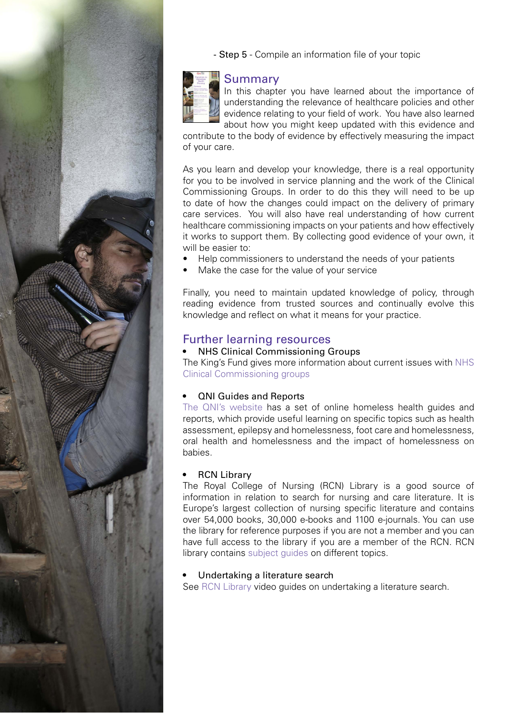

- Step 5 - Compile an information file of your topic

# Summary

In this chapter you have learned about the importance of understanding the relevance of healthcare policies and other evidence relating to your field of work. You have also learned about how you might keep updated with this evidence and

contribute to the body of evidence by effectively measuring the impact of your care.

As you learn and develop your knowledge, there is a real opportunity for you to be involved in service planning and the work of the Clinical Commissioning Groups. In order to do this they will need to be up to date of how the changes could impact on the delivery of primary care services. You will also have real understanding of how current healthcare commissioning impacts on your patients and how effectively it works to support them. By collecting good evidence of your own, it will be easier to:

- Help commissioners to understand the needs of your patients
- Make the case for the value of your service

Finally, you need to maintain updated knowledge of policy, through reading evidence from trusted sources and continually evolve this knowledge and reflect on what it means for your practice.

#### Further learning resources

#### **NHS Clinical Commissioning Groups**

The King's Fund gives more information about current issues with [NHS](https://www.kingsfund.org.uk/projects/new-nhs/clinical-commissioning-groups%3Fgclid%3DCNCZ0eDwg7cCFTMRtAodYzYAsA) [Clinical Commissioning groups](https://www.kingsfund.org.uk/projects/new-nhs/clinical-commissioning-groups%3Fgclid%3DCNCZ0eDwg7cCFTMRtAodYzYAsA) 

#### **QNI Guides and Reports**

[The QNI's website](https://www.qni.org.uk/explore-qni/homeless-health-programme/homeless-health-guides-reports/) has a set of online homeless health guides and reports, which provide useful learning on specific topics such as health assessment, epilepsy and homelessness, foot care and homelessness, oral health and homelessness and the impact of homelessness on babies.

#### **RCN Library**

The Royal College of Nursing (RCN) Library is a good source of information in relation to search for nursing and care literature. It is Europe's largest collection of nursing specific literature and contains over 54,000 books, 30,000 e-books and 1100 e-journals. You can use the library for reference purposes if you are not a member and you can have full access to the library if you are a member of the RCN. RCN library contains [subject guides](https://www.rcn.org.uk/library/subject-guides) on different topics.

#### Undertaking a literature search

See [RCN Library](https://www.rcn.org.uk/library) video guides on undertaking a literature search.